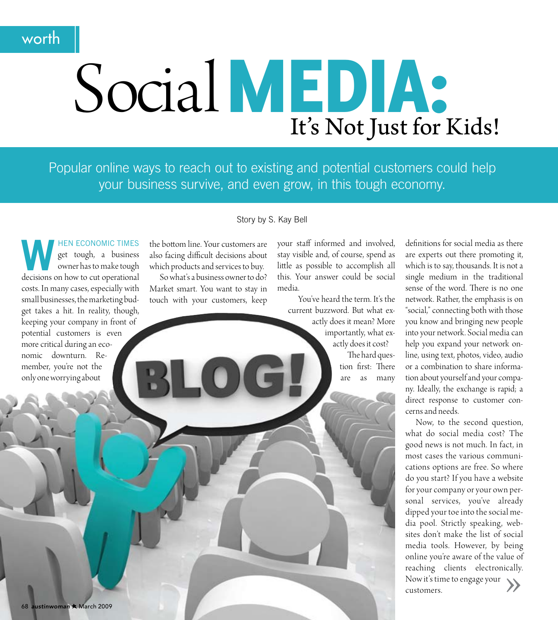# worth

# Social MEDIA: It's Not Just for Kids!

Popular online ways to reach out to existing and potential customers could help your business survive, and even grow, in this tough economy.

**HEN ECONOMIC TIMES** get tough, a business owner has to make tough decisions on how to cut operational costs. In many cases, especially with small businesses, the marketing budget takes a hit. In reality, though, keeping your company in front of potential customers is even more critical during an economic downturn. Remember, you're not the only one worrying about

#### Story by S. Kay Bell

the bottom line. Your customers are also facing difficult decisions about which products and services to buy. So what's a business owner to do?

Market smart. You want to stay in touch with your customers, keep

your staff informed and involved, stay visible and, of course, spend as little as possible to accomplish all this. Your answer could be social media.

You've heard the term. It's the current buzzword. But what exactly does it mean? More importantly, what exactly does it cost? The hard question first: There

are as many

definitions for social media as there are experts out there promoting it, which is to say, thousands. It is not a single medium in the traditional sense of the word. There is no one network. Rather, the emphasis is on "social," connecting both with those you know and bringing new people into your network. Social media can help you expand your network online, using text, photos, video, audio or a combination to share information about yourself and your company. Ideally, the exchange is rapid; a direct response to customer concerns and needs.

Now, to the second question, what do social media cost? The good news is not much. In fact, in most cases the various communications options are free. So where do you start? If you have a website for your company or your own personal services, you've already dipped your toe into the social media pool. Strictly speaking, websites don't make the list of social media tools. However, by being online you're aware of the value of reaching clients electronically. Now it's time to engage your customers.